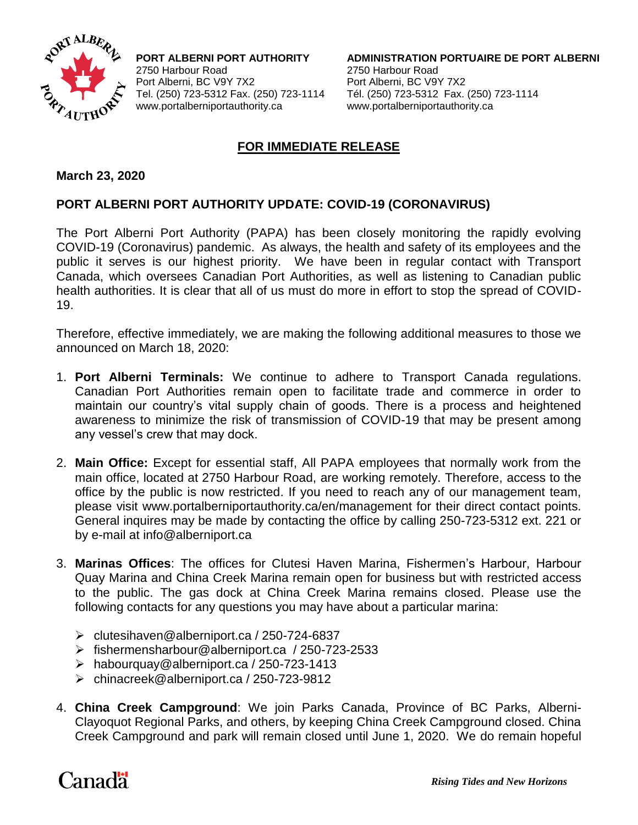

2750 Harbour Road 2750 Harbour Road Port Alberni, BC V9Y 7X2 Port Alberni, BC V9Y 7X2 www.portalberniportauthority.ca www.portalberniportauthority.ca

**PORT ALBERNI PORT AUTHORITY ADMINISTRATION PORTUAIRE DE PORT ALBERNI** Tel. (250) 723-5312 Fax. (250) 723-1114 Tél. (250) 723-5312 Fax. (250) 723-1114

## **FOR IMMEDIATE RELEASE**

## **March 23, 2020**

## **PORT ALBERNI PORT AUTHORITY UPDATE: COVID-19 (CORONAVIRUS)**

The Port Alberni Port Authority (PAPA) has been closely monitoring the rapidly evolving COVID-19 (Coronavirus) pandemic. As always, the health and safety of its employees and the public it serves is our highest priority. We have been in regular contact with Transport Canada, which oversees Canadian Port Authorities, as well as listening to Canadian public health authorities. It is clear that all of us must do more in effort to stop the spread of COVID-19.

Therefore, effective immediately, we are making the following additional measures to those we announced on March 18, 2020:

- 1. **Port Alberni Terminals:** We continue to adhere to Transport Canada regulations. Canadian Port Authorities remain open to facilitate trade and commerce in order to maintain our country's vital supply chain of goods. There is a process and heightened awareness to minimize the risk of transmission of COVID-19 that may be present among any vessel's crew that may dock.
- 2. **Main Office:** Except for essential staff, All PAPA employees that normally work from the main office, located at 2750 Harbour Road, are working remotely. Therefore, access to the office by the public is now restricted. If you need to reach any of our management team, please visit [www.portalberniportauthority.ca/en/management](http://www.portalberniportauthority.ca/en/management) for their direct contact points. General inquires may be made by contacting the office by calling 250-723-5312 ext. 221 or by e-mail at info@alberniport.ca
- 3. **Marinas Offices**: The offices for Clutesi Haven Marina, Fishermen's Harbour, Harbour Quay Marina and China Creek Marina remain open for business but with restricted access to the public. The gas dock at China Creek Marina remains closed. Please use the following contacts for any questions you may have about a particular marina:
	- clutesihaven@alberniport.ca / 250-724-6837
	- fishermensharbour@alberniport.ca / 250-723-2533
	- habourquay@alberniport.ca / 250-723-1413
	- chinacreek@alberniport.ca / 250-723-9812
- 4. **China Creek Campground**: We join Parks Canada, Province of BC Parks, Alberni-Clayoquot Regional Parks, and others, by keeping China Creek Campground closed. China Creek Campground and park will remain closed until June 1, 2020. We do remain hopeful